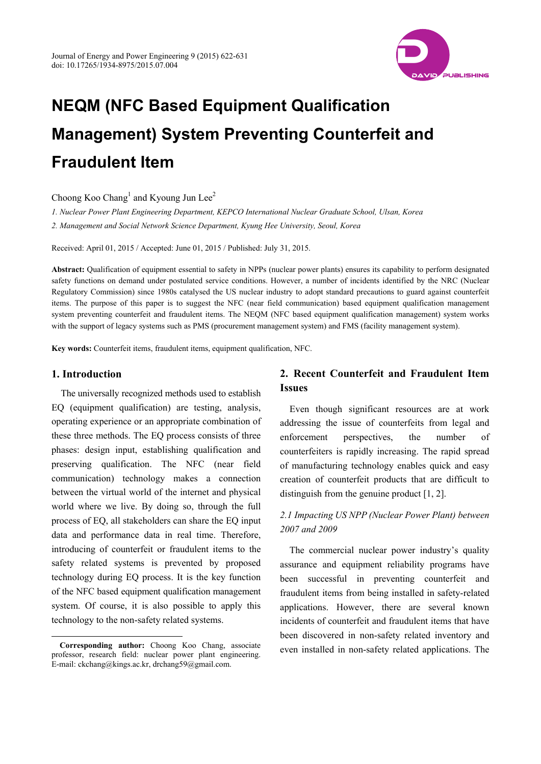

# **NEQM (NFC Based Equipment Qualification Management) System Preventing Counterfeit and Fraudulent Item**

Choong Koo Chang<sup>1</sup> and Kyoung Jun Lee<sup>2</sup>

*1. Nuclear Power Plant Engineering Department, KEPCO International Nuclear Graduate School, Ulsan, Korea 2. Management and Social Network Science Department, Kyung Hee University, Seoul, Korea* 

Received: April 01, 2015 / Accepted: June 01, 2015 / Published: July 31, 2015.

**Abstract:** Qualification of equipment essential to safety in NPPs (nuclear power plants) ensures its capability to perform designated safety functions on demand under postulated service conditions. However, a number of incidents identified by the NRC (Nuclear Regulatory Commission) since 1980s catalysed the US nuclear industry to adopt standard precautions to guard against counterfeit items. The purpose of this paper is to suggest the NFC (near field communication) based equipment qualification management system preventing counterfeit and fraudulent items. The NEQM (NFC based equipment qualification management) system works with the support of legacy systems such as PMS (procurement management system) and FMS (facility management system).

**Key words:** Counterfeit items, fraudulent items, equipment qualification, NFC.

# **1. Introduction**

 $\overline{a}$ 

The universally recognized methods used to establish EQ (equipment qualification) are testing, analysis, operating experience or an appropriate combination of these three methods. The EQ process consists of three phases: design input, establishing qualification and preserving qualification. The NFC (near field communication) technology makes a connection between the virtual world of the internet and physical world where we live. By doing so, through the full process of EQ, all stakeholders can share the EQ input data and performance data in real time. Therefore, introducing of counterfeit or fraudulent items to the safety related systems is prevented by proposed technology during EQ process. It is the key function of the NFC based equipment qualification management system. Of course, it is also possible to apply this technology to the non-safety related systems.

# **2. Recent Counterfeit and Fraudulent Item Issues**

Even though significant resources are at work addressing the issue of counterfeits from legal and enforcement perspectives, the number of counterfeiters is rapidly increasing. The rapid spread of manufacturing technology enables quick and easy creation of counterfeit products that are difficult to distinguish from the genuine product [1, 2].

# *2.1 Impacting US NPP (Nuclear Power Plant) between 2007 and 2009*

The commercial nuclear power industry's quality assurance and equipment reliability programs have been successful in preventing counterfeit and fraudulent items from being installed in safety-related applications. However, there are several known incidents of counterfeit and fraudulent items that have been discovered in non-safety related inventory and even installed in non-safety related applications. The

**Corresponding author:** Choong Koo Chang, associate professor, research field: nuclear power plant engineering. E-mail: ckchang@kings.ac.kr, drchang59@gmail.com.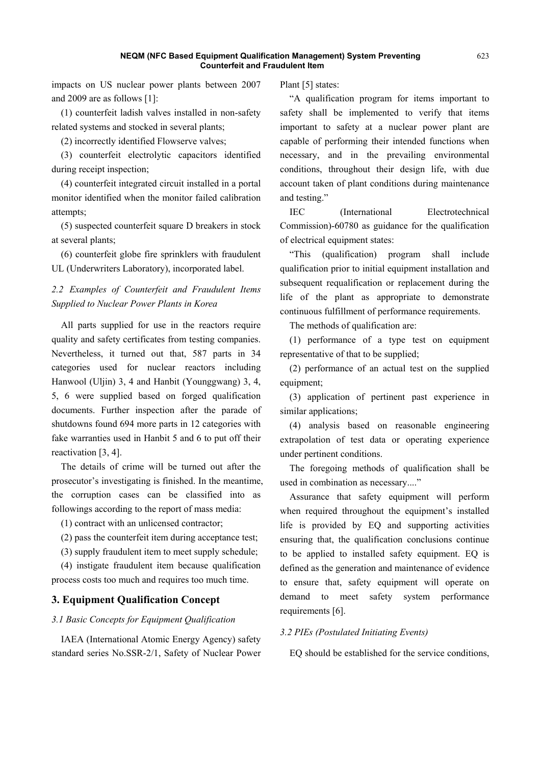impacts on US nuclear power plants between 2007 and 2009 are as follows [1]:

(1) counterfeit ladish valves installed in non-safety related systems and stocked in several plants;

(2) incorrectly identified Flowserve valves;

(3) counterfeit electrolytic capacitors identified during receipt inspection;

(4) counterfeit integrated circuit installed in a portal monitor identified when the monitor failed calibration attempts;

(5) suspected counterfeit square D breakers in stock at several plants;

(6) counterfeit globe fire sprinklers with fraudulent UL (Underwriters Laboratory), incorporated label.

# *2.2 Examples of Counterfeit and Fraudulent Items Supplied to Nuclear Power Plants in Korea*

All parts supplied for use in the reactors require quality and safety certificates from testing companies. Nevertheless, it turned out that, 587 parts in 34 categories used for nuclear reactors including Hanwool (Uljin) 3, 4 and Hanbit (Younggwang) 3, 4, 5, 6 were supplied based on forged qualification documents. Further inspection after the parade of shutdowns found 694 more parts in 12 categories with fake warranties used in Hanbit 5 and 6 to put off their reactivation [3, 4].

The details of crime will be turned out after the prosecutor's investigating is finished. In the meantime, the corruption cases can be classified into as followings according to the report of mass media:

(1) contract with an unlicensed contractor;

(2) pass the counterfeit item during acceptance test;

(3) supply fraudulent item to meet supply schedule;

(4) instigate fraudulent item because qualification process costs too much and requires too much time.

# **3. Equipment Qualification Concept**

# *3.1 Basic Concepts for Equipment Qualification*

IAEA (International Atomic Energy Agency) safety standard series No.SSR-2/1, Safety of Nuclear Power Plant [5] states:

"A qualification program for items important to safety shall be implemented to verify that items important to safety at a nuclear power plant are capable of performing their intended functions when necessary, and in the prevailing environmental conditions, throughout their design life, with due account taken of plant conditions during maintenance and testing."

IEC (International Electrotechnical Commission)-60780 as guidance for the qualification of electrical equipment states:

"This (qualification) program shall include qualification prior to initial equipment installation and subsequent requalification or replacement during the life of the plant as appropriate to demonstrate continuous fulfillment of performance requirements.

The methods of qualification are:

(1) performance of a type test on equipment representative of that to be supplied;

(2) performance of an actual test on the supplied equipment;

(3) application of pertinent past experience in similar applications;

(4) analysis based on reasonable engineering extrapolation of test data or operating experience under pertinent conditions.

The foregoing methods of qualification shall be used in combination as necessary...."

Assurance that safety equipment will perform when required throughout the equipment's installed life is provided by EQ and supporting activities ensuring that, the qualification conclusions continue to be applied to installed safety equipment. EQ is defined as the generation and maintenance of evidence to ensure that, safety equipment will operate on demand to meet safety system performance requirements [6].

## *3.2 PIEs (Postulated Initiating Events)*

EQ should be established for the service conditions,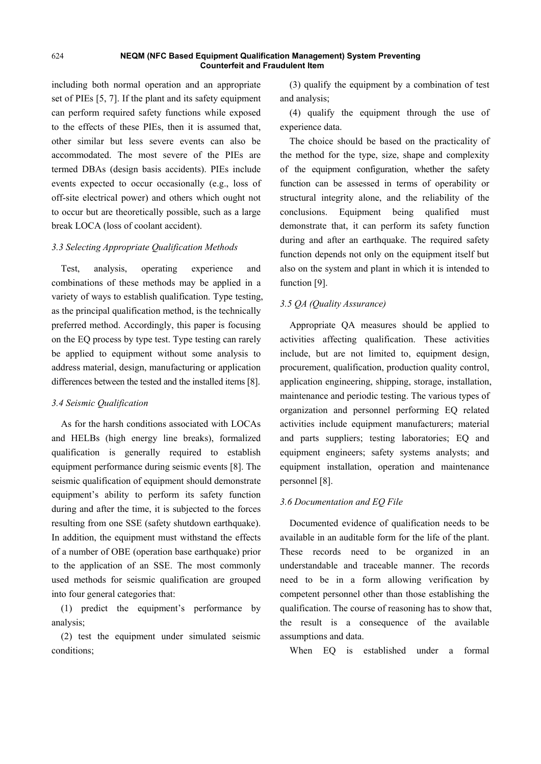including both normal operation and an appropriate set of PIEs [5, 7]. If the plant and its safety equipment can perform required safety functions while exposed to the effects of these PIEs, then it is assumed that, other similar but less severe events can also be accommodated. The most severe of the PIEs are termed DBAs (design basis accidents). PIEs include events expected to occur occasionally (e.g., loss of off-site electrical power) and others which ought not to occur but are theoretically possible, such as a large break LOCA (loss of coolant accident).

## *3.3 Selecting Appropriate Qualification Methods*

Test, analysis, operating experience and combinations of these methods may be applied in a variety of ways to establish qualification. Type testing, as the principal qualification method, is the technically preferred method. Accordingly, this paper is focusing on the EQ process by type test. Type testing can rarely be applied to equipment without some analysis to address material, design, manufacturing or application differences between the tested and the installed items [8].

# *3.4 Seismic Qualification*

As for the harsh conditions associated with LOCAs and HELBs (high energy line breaks), formalized qualification is generally required to establish equipment performance during seismic events [8]. The seismic qualification of equipment should demonstrate equipment's ability to perform its safety function during and after the time, it is subjected to the forces resulting from one SSE (safety shutdown earthquake). In addition, the equipment must withstand the effects of a number of OBE (operation base earthquake) prior to the application of an SSE. The most commonly used methods for seismic qualification are grouped into four general categories that:

(1) predict the equipment's performance by analysis;

(2) test the equipment under simulated seismic conditions;

(3) qualify the equipment by a combination of test and analysis;

(4) qualify the equipment through the use of experience data.

The choice should be based on the practicality of the method for the type, size, shape and complexity of the equipment configuration, whether the safety function can be assessed in terms of operability or structural integrity alone, and the reliability of the conclusions. Equipment being qualified must demonstrate that, it can perform its safety function during and after an earthquake. The required safety function depends not only on the equipment itself but also on the system and plant in which it is intended to function [9].

## *3.5 QA (Quality Assurance)*

Appropriate QA measures should be applied to activities affecting qualification. These activities include, but are not limited to, equipment design, procurement, qualification, production quality control, application engineering, shipping, storage, installation, maintenance and periodic testing. The various types of organization and personnel performing EQ related activities include equipment manufacturers; material and parts suppliers; testing laboratories; EQ and equipment engineers; safety systems analysts; and equipment installation, operation and maintenance personnel [8].

## *3.6 Documentation and EQ File*

Documented evidence of qualification needs to be available in an auditable form for the life of the plant. These records need to be organized in an understandable and traceable manner. The records need to be in a form allowing verification by competent personnel other than those establishing the qualification. The course of reasoning has to show that, the result is a consequence of the available assumptions and data.

When EQ is established under a formal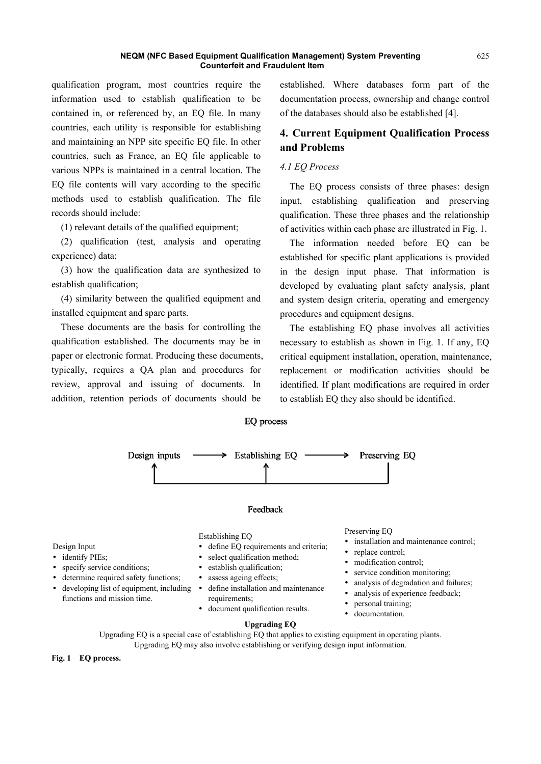qualification program, most countries require the information used to establish qualification to be contained in, or referenced by, an EQ file. In many countries, each utility is responsible for establishing and maintaining an NPP site specific EQ file. In other countries, such as France, an EQ file applicable to various NPPs is maintained in a central location. The EQ file contents will vary according to the specific methods used to establish qualification. The file records should include:

(1) relevant details of the qualified equipment;

(2) qualification (test, analysis and operating experience) data;

(3) how the qualification data are synthesized to establish qualification;

(4) similarity between the qualified equipment and installed equipment and spare parts.

These documents are the basis for controlling the qualification established. The documents may be in paper or electronic format. Producing these documents, typically, requires a QA plan and procedures for review, approval and issuing of documents. In addition, retention periods of documents should be

established. Where databases form part of the documentation process, ownership and change control of the databases should also be established [4].

# **4. Current Equipment Qualification Process and Problems**

# *4.1 EQ Process*

The EQ process consists of three phases: design input, establishing qualification and preserving qualification. These three phases and the relationship of activities within each phase are illustrated in Fig. 1.

The information needed before EQ can be established for specific plant applications is provided in the design input phase. That information is developed by evaluating plant safety analysis, plant and system design criteria, operating and emergency procedures and equipment designs.

The establishing EQ phase involves all activities necessary to establish as shown in Fig. 1. If any, EQ critical equipment installation, operation, maintenance, replacement or modification activities should be identified. If plant modifications are required in order to establish EQ they also should be identified.



**Fig. 1 EQ process.** 

EQ process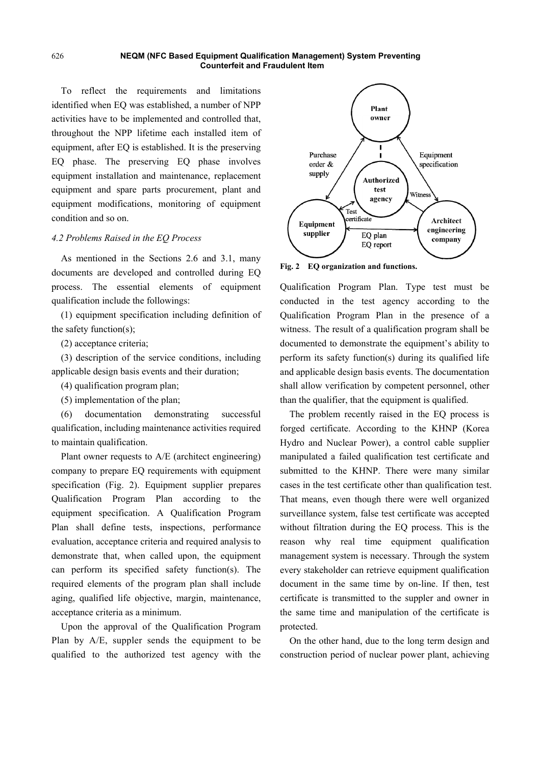#### **NEQM (NFC Based Equipment Qualification Management) System Preventing Counterfeit and Fraudulent Item**

To reflect the requirements and limitations identified when EQ was established, a number of NPP activities have to be implemented and controlled that, throughout the NPP lifetime each installed item of equipment, after EQ is established. It is the preserving EQ phase. The preserving EQ phase involves equipment installation and maintenance, replacement equipment and spare parts procurement, plant and equipment modifications, monitoring of equipment condition and so on.

## *4.2 Problems Raised in the EQ Process*

As mentioned in the Sections 2.6 and 3.1, many documents are developed and controlled during EQ process. The essential elements of equipment qualification include the followings:

(1) equipment specification including definition of the safety function(s);

(2) acceptance criteria;

(3) description of the service conditions, including applicable design basis events and their duration;

(4) qualification program plan;

(5) implementation of the plan;

(6) documentation demonstrating successful qualification, including maintenance activities required to maintain qualification.

Plant owner requests to A/E (architect engineering) company to prepare EQ requirements with equipment specification (Fig. 2). Equipment supplier prepares Qualification Program Plan according to the equipment specification. A Qualification Program Plan shall define tests, inspections, performance evaluation, acceptance criteria and required analysis to demonstrate that, when called upon, the equipment can perform its specified safety function(s). The required elements of the program plan shall include aging, qualified life objective, margin, maintenance, acceptance criteria as a minimum.

Upon the approval of the Qualification Program Plan by A/E, suppler sends the equipment to be qualified to the authorized test agency with the



**Fig. 2 EQ organization and functions.** 

Qualification Program Plan. Type test must be conducted in the test agency according to the Qualification Program Plan in the presence of a witness. The result of a qualification program shall be documented to demonstrate the equipment's ability to perform its safety function(s) during its qualified life and applicable design basis events. The documentation shall allow verification by competent personnel, other than the qualifier, that the equipment is qualified.

The problem recently raised in the EQ process is forged certificate. According to the KHNP (Korea Hydro and Nuclear Power), a control cable supplier manipulated a failed qualification test certificate and submitted to the KHNP. There were many similar cases in the test certificate other than qualification test. That means, even though there were well organized surveillance system, false test certificate was accepted without filtration during the EQ process. This is the reason why real time equipment qualification management system is necessary. Through the system every stakeholder can retrieve equipment qualification document in the same time by on-line. If then, test certificate is transmitted to the suppler and owner in the same time and manipulation of the certificate is protected.

On the other hand, due to the long term design and construction period of nuclear power plant, achieving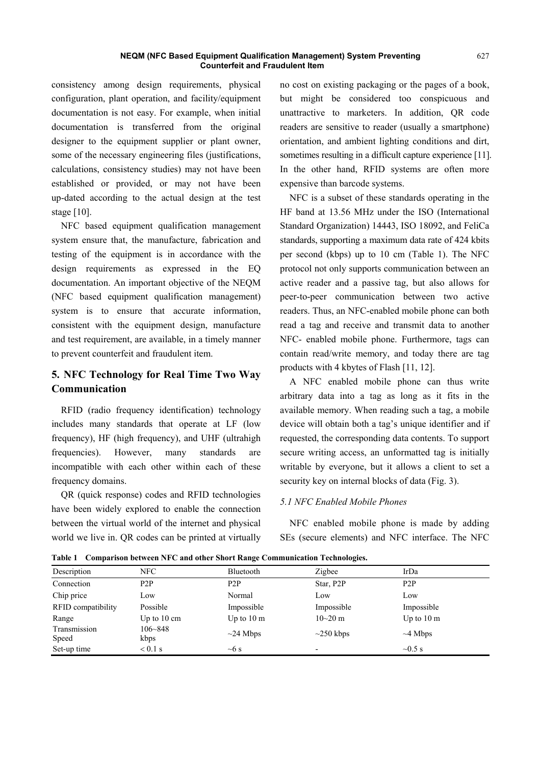consistency among design requirements, physical configuration, plant operation, and facility/equipment documentation is not easy. For example, when initial documentation is transferred from the original designer to the equipment supplier or plant owner, some of the necessary engineering files (justifications, calculations, consistency studies) may not have been established or provided, or may not have been up-dated according to the actual design at the test stage [10].

NFC based equipment qualification management system ensure that, the manufacture, fabrication and testing of the equipment is in accordance with the design requirements as expressed in the EQ documentation. An important objective of the NEQM (NFC based equipment qualification management) system is to ensure that accurate information, consistent with the equipment design, manufacture and test requirement, are available, in a timely manner to prevent counterfeit and fraudulent item.

# **5. NFC Technology for Real Time Two Way Communication**

RFID (radio frequency identification) technology includes many standards that operate at LF (low frequency), HF (high frequency), and UHF (ultrahigh frequencies). However, many standards are incompatible with each other within each of these frequency domains.

QR (quick response) codes and RFID technologies have been widely explored to enable the connection between the virtual world of the internet and physical world we live in. QR codes can be printed at virtually no cost on existing packaging or the pages of a book, but might be considered too conspicuous and unattractive to marketers. In addition, QR code readers are sensitive to reader (usually a smartphone) orientation, and ambient lighting conditions and dirt, sometimes resulting in a difficult capture experience [11]. In the other hand, RFID systems are often more expensive than barcode systems.

NFC is a subset of these standards operating in the HF band at 13.56 MHz under the ISO (International Standard Organization) 14443, ISO 18092, and FeliCa standards, supporting a maximum data rate of 424 kbits per second (kbps) up to 10 cm (Table 1). The NFC protocol not only supports communication between an active reader and a passive tag, but also allows for peer-to-peer communication between two active readers. Thus, an NFC-enabled mobile phone can both read a tag and receive and transmit data to another NFC- enabled mobile phone. Furthermore, tags can contain read/write memory, and today there are tag products with 4 kbytes of Flash [11, 12].

A NFC enabled mobile phone can thus write arbitrary data into a tag as long as it fits in the available memory. When reading such a tag, a mobile device will obtain both a tag's unique identifier and if requested, the corresponding data contents. To support secure writing access, an unformatted tag is initially writable by everyone, but it allows a client to set a security key on internal blocks of data (Fig. 3).

# *5.1 NFC Enabled Mobile Phones*

NFC enabled mobile phone is made by adding SEs (secure elements) and NFC interface. The NFC

| Description           | <b>NFC</b>            | Bluetooth            | Zigbee                 | IrDa                 |
|-----------------------|-----------------------|----------------------|------------------------|----------------------|
| Connection            | P <sub>2</sub> P      | P <sub>2</sub> P     | Star, P <sub>2</sub> P | P <sub>2</sub> P     |
| Chip price            | Low                   | Normal               | Low                    | Low                  |
| RFID compatibility    | Possible              | Impossible           | Impossible             | Impossible           |
| Range                 | Up to $10 \text{ cm}$ | Up to $10 \text{ m}$ | $10 - 20$ m            | Up to $10 \text{ m}$ |
| Transmission<br>Speed | $106 - 848$<br>kbps   | $\sim$ 24 Mbps       | $\sim$ 250 kbps        | $\sim$ 4 Mbps        |
| Set-up time           | $< 0.1$ s             | $\sim 6$ s           | -                      | $\sim 0.5$ s         |

**Table 1 Comparison between NFC and other Short Range Communication Technologies.**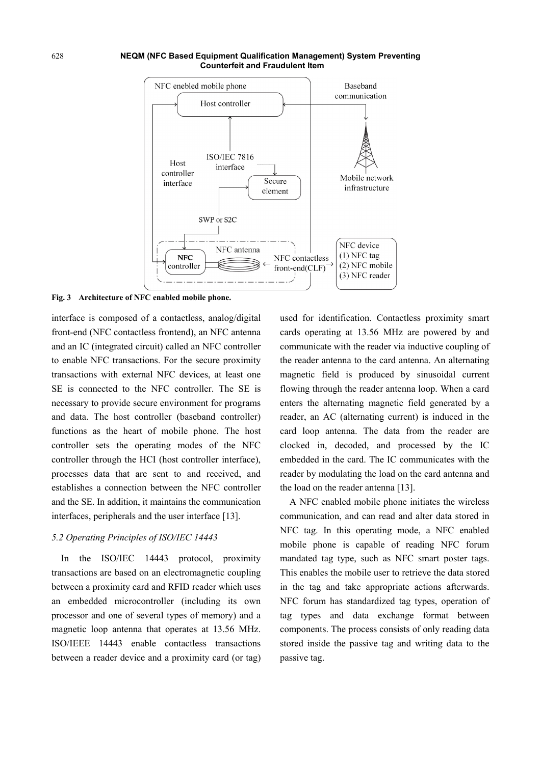

#### **NEQM (NFC Based Equipment Qualification Management) System Preventing Counterfeit and Fraudulent Item**

**Fig. 3 Architecture of NFC enabled mobile phone.** 

interface is composed of a contactless, analog/digital front-end (NFC contactless frontend), an NFC antenna and an IC (integrated circuit) called an NFC controller to enable NFC transactions. For the secure proximity transactions with external NFC devices, at least one SE is connected to the NFC controller. The SE is necessary to provide secure environment for programs and data. The host controller (baseband controller) functions as the heart of mobile phone. The host controller sets the operating modes of the NFC controller through the HCI (host controller interface), processes data that are sent to and received, and establishes a connection between the NFC controller and the SE. In addition, it maintains the communication interfaces, peripherals and the user interface [13].

# *5.2 Operating Principles of ISO/IEC 14443*

In the ISO/IEC 14443 protocol, proximity transactions are based on an electromagnetic coupling between a proximity card and RFID reader which uses an embedded microcontroller (including its own processor and one of several types of memory) and a magnetic loop antenna that operates at 13.56 MHz. ISO/IEEE 14443 enable contactless transactions between a reader device and a proximity card (or tag) used for identification. Contactless proximity smart cards operating at 13.56 MHz are powered by and communicate with the reader via inductive coupling of the reader antenna to the card antenna. An alternating magnetic field is produced by sinusoidal current flowing through the reader antenna loop. When a card enters the alternating magnetic field generated by a reader, an AC (alternating current) is induced in the card loop antenna. The data from the reader are clocked in, decoded, and processed by the IC embedded in the card. The IC communicates with the reader by modulating the load on the card antenna and the load on the reader antenna [13].

A NFC enabled mobile phone initiates the wireless communication, and can read and alter data stored in NFC tag. In this operating mode, a NFC enabled mobile phone is capable of reading NFC forum mandated tag type, such as NFC smart poster tags. This enables the mobile user to retrieve the data stored in the tag and take appropriate actions afterwards. NFC forum has standardized tag types, operation of tag types and data exchange format between components. The process consists of only reading data stored inside the passive tag and writing data to the passive tag.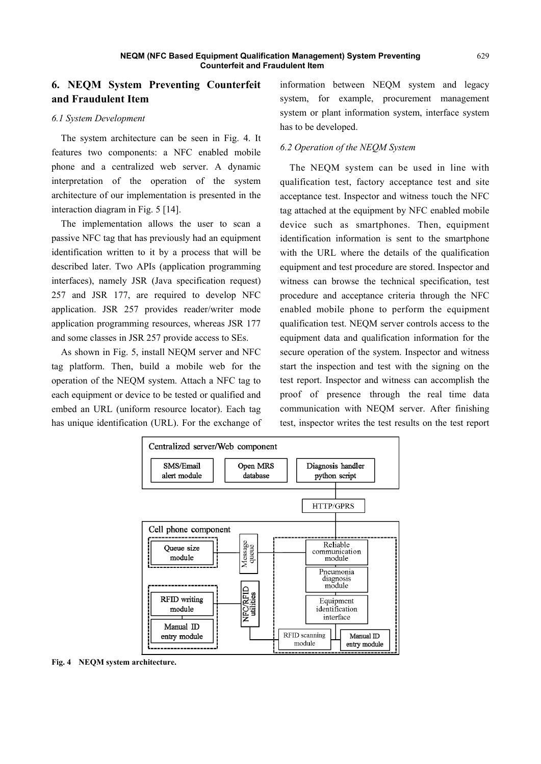# **6. NEQM System Preventing Counterfeit and Fraudulent Item**

## *6.1 System Development*

The system architecture can be seen in Fig. 4. It features two components: a NFC enabled mobile phone and a centralized web server. A dynamic interpretation of the operation of the system architecture of our implementation is presented in the interaction diagram in Fig. 5 [14].

The implementation allows the user to scan a passive NFC tag that has previously had an equipment identification written to it by a process that will be described later. Two APIs (application programming interfaces), namely JSR (Java specification request) 257 and JSR 177, are required to develop NFC application. JSR 257 provides reader/writer mode application programming resources, whereas JSR 177 and some classes in JSR 257 provide access to SEs.

As shown in Fig. 5, install NEQM server and NFC tag platform. Then, build a mobile web for the operation of the NEQM system. Attach a NFC tag to each equipment or device to be tested or qualified and embed an URL (uniform resource locator). Each tag has unique identification (URL). For the exchange of information between NEQM system and legacy system, for example, procurement management system or plant information system, interface system has to be developed.

## *6.2 Operation of the NEQM System*

The NEQM system can be used in line with qualification test, factory acceptance test and site acceptance test. Inspector and witness touch the NFC tag attached at the equipment by NFC enabled mobile device such as smartphones. Then, equipment identification information is sent to the smartphone with the URL where the details of the qualification equipment and test procedure are stored. Inspector and witness can browse the technical specification, test procedure and acceptance criteria through the NFC enabled mobile phone to perform the equipment qualification test. NEQM server controls access to the equipment data and qualification information for the secure operation of the system. Inspector and witness start the inspection and test with the signing on the test report. Inspector and witness can accomplish the proof of presence through the real time data communication with NEQM server. After finishing test, inspector writes the test results on the test report



**Fig. 4 NEQM system architecture.**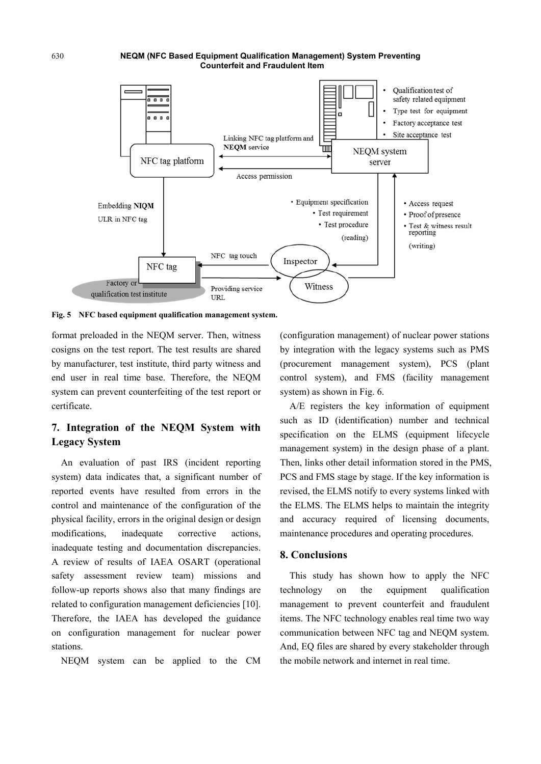

**Fig. 5 NFC based equipment qualification management system.** 

format preloaded in the NEQM server. Then, witness cosigns on the test report. The test results are shared by manufacturer, test institute, third party witness and end user in real time base. Therefore, the NEQM system can prevent counterfeiting of the test report or certificate.

# **7. Integration of the NEQM System with Legacy System**

An evaluation of past IRS (incident reporting system) data indicates that, a significant number of reported events have resulted from errors in the control and maintenance of the configuration of the physical facility, errors in the original design or design modifications, inadequate corrective actions, inadequate testing and documentation discrepancies. A review of results of IAEA OSART (operational safety assessment review team) missions and follow-up reports shows also that many findings are related to configuration management deficiencies [10]. Therefore, the IAEA has developed the guidance on configuration management for nuclear power stations.

NEQM system can be applied to the CM

(configuration management) of nuclear power stations by integration with the legacy systems such as PMS (procurement management system), PCS (plant control system), and FMS (facility management system) as shown in Fig. 6.

A/E registers the key information of equipment such as ID (identification) number and technical specification on the ELMS (equipment lifecycle management system) in the design phase of a plant. Then, links other detail information stored in the PMS, PCS and FMS stage by stage. If the key information is revised, the ELMS notify to every systems linked with the ELMS. The ELMS helps to maintain the integrity and accuracy required of licensing documents, maintenance procedures and operating procedures.

# **8. Conclusions**

This study has shown how to apply the NFC technology on the equipment qualification management to prevent counterfeit and fraudulent items. The NFC technology enables real time two way communication between NFC tag and NEQM system. And, EQ files are shared by every stakeholder through the mobile network and internet in real time.